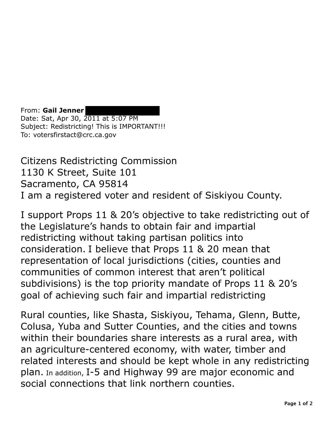From: **Gail Jenner**  Date: Sat, Apr 30, 2011 at 5:07 PM Subject: Redistricting! This is IMPORTANT!!! To: votersfirstact@crc.ca.gov

Citizens Redistricting Commission 1130 K Street, Suite 101 Sacramento, CA 95814 I am a registered voter and resident of Siskiyou County.

I support Props 11 & 20's objective to take redistricting out of the Legislature's hands to obtain fair and impartial redistricting without taking partisan politics into consideration. I believe that Props 11 & 20 mean that representation of local jurisdictions (cities, counties and communities of common interest that aren't political subdivisions) is the top priority mandate of Props 11 & 20's goal of achieving such fair and impartial redistricting

Rural counties, like Shasta, Siskiyou, Tehama, Glenn, Butte, Colusa, Yuba and Sutter Counties, and the cities and towns within their boundaries share interests as a rural area, with an agriculture-centered economy, with water, timber and related interests and should be kept whole in any redistricting plan. In addition, I-5 and Highway 99 are major economic and social connections that link northern counties.